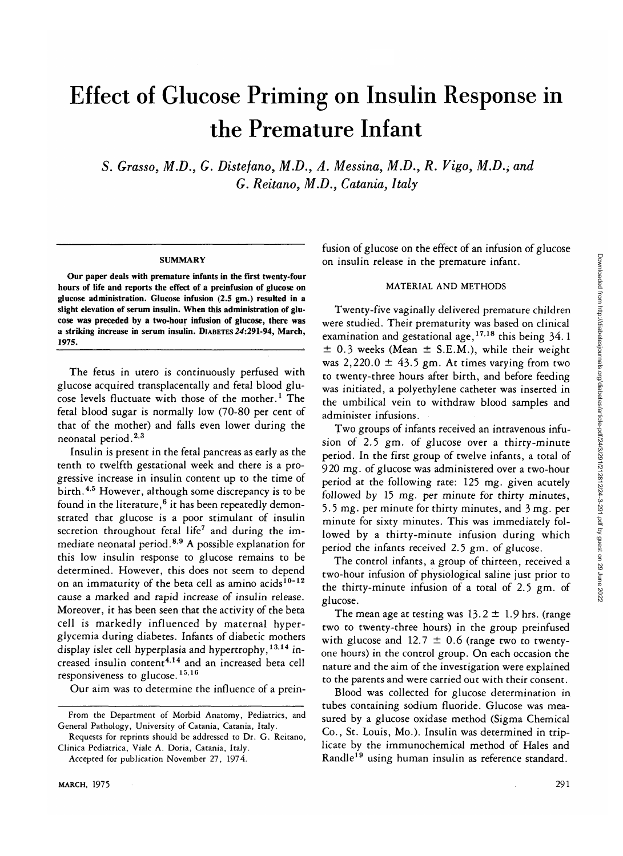# Effect of Glucose Priming on Insulin Response in the Premature Infant

5. *Grasso, M.D., G. Distefano, M.D., A. Messina, M.D., R. Vigo, M.D., and G. Reitano, M.D., Catania, Italy*

#### **SUMMARY**

**Our paper deals with premature infants in the first twenty-four hours of life and reports the effect of a preinfusion of glucose on glucose administration. Glucose infusion (2.5 gm.) resulted in a slight elevation of serum insulin. When this administration of glucose was- preceded by a two-hour infusion of glucose, there was a striking increase in serum insulin. DIABETES** *24:291-94,* **March, 1975.**

The fetus in utero is continuously perfused with glucose acquired transplacentally and fetal blood glucose levels fluctuate with those of the mother.<sup>1</sup> The fetal blood sugar is normally low (70-80 per cent of that of the mother) and falls even lower during the neonatal period.<sup>2,3</sup>

Insulin is present in the fetal pancreas as early as the tenth to twelfth gestational week and there is a progressive increase in insulin content up to the time of birth. <sup>4,5</sup> However, although some discrepancy is to be found in the literature,<sup>6</sup> it has been repeatedly demonstrated that glucose is a poor stimulant of insulin secretion throughout fetal life<sup>7</sup> and during the immediate neonatal period.<sup>89</sup> A possible explanation for this low insulin response to glucose remains to be determined. However, this does not seem to depend on an immaturity of the beta cell as amino acids $^{10-12}$ cause a marked and rapid increase of insulin release. Moreover, it has been seen that the activity of the beta cell is markedly influenced by maternal hyperglycemia during diabetes. Infants of diabetic mothers display islet cell hyperplasia and hypertrophy,  $^{13,14}$  increased insulin content<sup>414</sup> and an increased beta cell responsiveness to glucose.<sup>15,16</sup>

Our aim was to determine the influence of a prein-

fusion of glucose on the effect of an infusion of glucose on insulin release in the premature infant.

## MATERIAL AND METHODS

Twenty-five vaginally delivered premature children were studied. Their prematurity was based on clinical examination and gestational age,<sup>17,18</sup> this being 34.1  $\pm$  0.3 weeks (Mean  $\pm$  S.E.M.), while their weight was  $2,220.0 \pm 43.5$  gm. At times varying from two to twenty-three hours after birth, and before feeding was initiated, a polyethylene catheter was inserted in the umbilical vein to withdraw blood samples and administer infusions.

Two groups of infants received an intravenous infusion of 2.5 gm. of glucose over a thirty-minute period. In the first group of twelve infants, a total of 920 mg. of glucose was administered over a two-hour period at the following rate: 125 mg. given acutely followed by 15 mg. per minute for thirty minutes, 5.5 mg. per minute for thirty minutes, and 3 mg. per minute for sixty minutes. This was immediately followed by a thirty-minute infusion during which period the infants received 2.5 gm. of glucose.

The control infants, a group of thirteen, received a two-hour infusion of physiological saline just prior to the thirty-minute infusion of a total of 2.5 gm. of glucose.

The mean age at testing was  $13.2 \pm 1.9$  hrs. (range two to twenty-three hours) in the group preinfused with glucose and 12.7  $\pm$  0.6 (range two to twentyone hours) in the control group. On each occasion the nature and the aim of the investigation were explained to the parents and were carried out with their consent.

Blood was collected for glucose determination in tubes containing sodium fluoride. Glucose was measured by a glucose oxidase method (Sigma Chemical Co., St. Louis, Mo.). Insulin was determined in triplicate by the immunochemical method of Hales and Randle<sup>19</sup> using human insulin as reference standard.

From the Department of Morbid Anatomy, Pediatrics, and General Pathology, University of Catania, Catania, Italy.

Requests for reprints should be addressed to Dr. G. Reitano, Clinica Pediatrica, Viale A. Doria, Catania, Italy.

Accepted for publication November 27, 1974.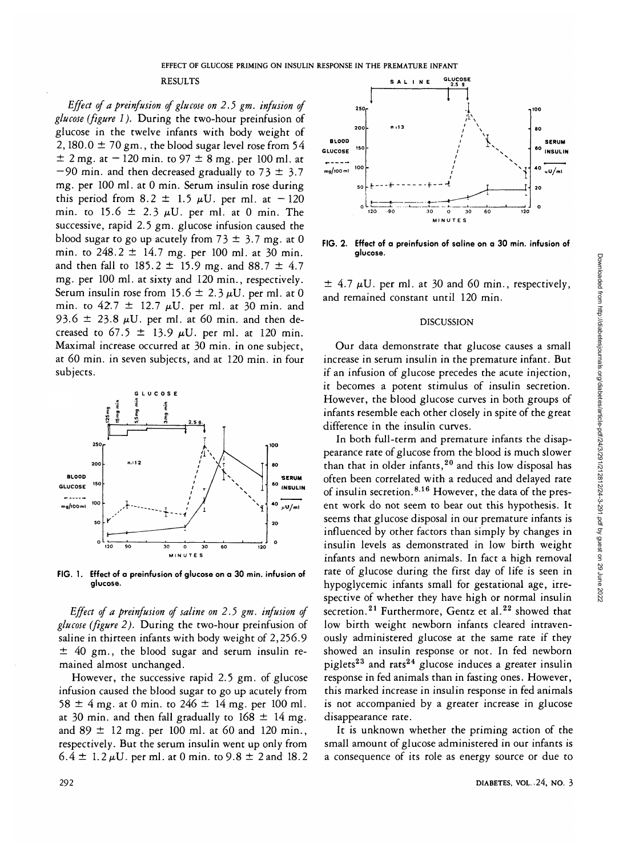## RESULTS

*Effect of a preinfusion of glucose on 2.5 gm. infusion of glucose (figure I).* During the two-hour preinfusion of glucose in the twelve infants with body weight of 2, 180.0  $\pm$  70 gm., the blood sugar level rose from 54  $\pm$  2 mg. at  $-$  120 min. to 97  $\pm$  8 mg. per 100 ml. at  $-90$  min. and then decreased gradually to 73  $\pm$  3.7 mg. per 100 ml. at 0 min. Serum insulin rose during this period from 8.2  $\pm$  1.5  $\mu$ U. per ml. at -120 min. to 15.6  $\pm$  2.3  $\mu$ U. per ml. at 0 min. The successive, rapid 2.5 gm. glucose infusion caused the blood sugar to go up acutely from  $73 \pm 3.7$  mg. at 0 min. to  $248.2 \pm 14.7$  mg. per 100 ml. at 30 min. and then fall to  $185.2 \pm 15.9$  mg. and  $88.7 \pm 4.7$ mg. per 100 ml. at sixty and 120 min., respectively. Serum insulin rose from 15.6  $\pm$  2.3  $\mu$ U. per ml. at 0 min. to  $42.7 \pm 12.7$   $\mu$ U. per ml. at 30 min. and 93.6  $\pm$  23.8  $\mu$ U. per ml. at 60 min. and then decreased to 67.5  $\pm$  13.9  $\mu$ U. per ml. at 120 min. Maximal increase occurred at 30 min. in one subject, at 60 min. in seven subjects, and at 120 min. in four subjects.



**FIG. 1. Effect of a preinfusion of glucose on a 30 min. infusion of glucose.**

*Effect of a preinfusion of saline on 2.5 gm. infusion of glucose (figure 2).* During the two-hour preinfusion of saline in thirteen infants with body weight of 2,256.9  $±$  40 gm., the blood sugar and serum insulin remained almost unchanged.

However, the successive rapid 2.5 gm. of glucose infusion caused the blood sugar to go up acutely from 58  $\pm$  4 mg. at 0 min. to 246  $\pm$  14 mg. per 100 ml. at 30 min. and then fall gradually to  $168 \pm 14$  mg. and  $89 \pm 12$  mg. per 100 ml. at 60 and 120 min., respectively. But the serum insulin went up only from  $6.4 \pm 1.2 \,\mu$ U. per ml. at 0 min. to 9.8  $\pm$  2 and 18.2



**FIG. 2. Effect of a preinfusion of saline on a 30 min. infusion of glucose.**

 $\pm$  4.7  $\mu$ U. per ml. at 30 and 60 min., respectively, and remained constant until 120 min.

### DISCUSSION

Our data demonstrate that glucose causes a small increase in serum insulin in the premature infant. But if an infusion of glucose precedes the acute injection, it becomes a potent stimulus of insulin secretion. However, the blood glucose curves in both groups of infants resemble each other closely in spite of the great difference in the insulin curves.

In both full-term and premature infants the disappearance rate of glucose from the blood is much slower than that in older infants,<sup>20</sup> and this low disposal has often been correlated with a reduced and delayed rate of insulin secretion.<sup>8,16</sup> However, the data of the present work do not seem to bear out this hypothesis. It seems that glucose disposal in our premature infants is influenced by other factors than simply by changes in insulin levels as demonstrated in low birth weight infants and newborn animals. In fact a high removal rate of glucose during the first day of life is seen in hypoglycemic infants small for gestational age, irrespective of whether they have high or normal insulin secretion.<sup>21</sup> Furthermore, Gentz et al.<sup>22</sup> showed that low birth weight newborn infants cleared intravenously administered glucose at the same rate if they showed an insulin response or not. In fed newborn piglets<sup>23</sup> and rats<sup>24</sup> glucose induces a greater insulin response in fed animals than in fasting ones. However, this marked increase in insulin response in fed animals is not accompanied by a greater increase in glucose disappearance rate.

It is unknown whether the priming action of the small amount of glucose administered in our infants is ^ a consequence of its role as energy source or due to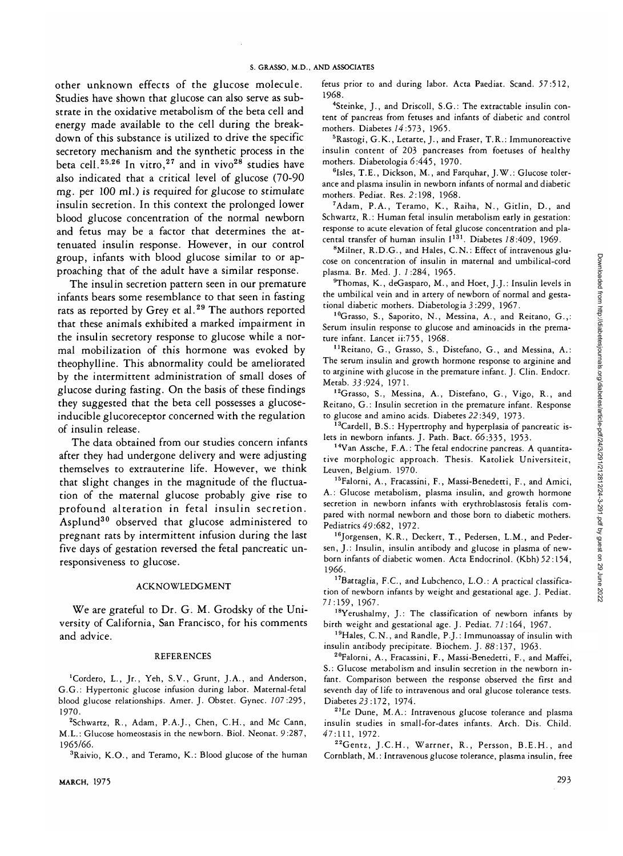other unknown effects of the glucose molecule. Studies have shown that glucose can also serve as substrate in the oxidative metabolism of the beta cell and energy made available to the cell during the breakdown of this substance is utilized to drive the specific secretory mechanism and the synthetic process in the beta cell.<sup>25,26</sup> In vitro,<sup>27</sup> and in vivo<sup>28</sup> studies have also indicated that a critical level of glucose (70-90 mg. per 100 ml.) is required for glucose to stimulate insulin secretion. In this context the prolonged lower blood glucose concentration of the normal newborn and fetus may be a factor that determines the attenuated insulin response. However, in our control group, infants with blood glucose similar to or approaching that of the adult have a similar response.

The insulin secretion pattern seen in our premature infants bears some resemblance to that seen in fasting rats as reported by Grey et al.<sup>29</sup> The authors reported that these animals exhibited a marked impairment in the insulin secretory response to glucose while a normal mobilization of this hormone was evoked by theophylline. This abnormality could be ameliorated by the intermittent administration of small doses of glucose during fasting. On the basis of these findings they suggested that the beta cell possesses a glucoseinducible glucoreceptor concerned with the regulation of insulin release.

The data obtained from our studies concern infants after they had undergone delivery and were adjusting themselves to extrauterine life. However, we think that slight changes in the magnitude of the fluctuation of the maternal glucose probably give rise to profound alteration in fetal insulin secretion. Asplund<sup>30</sup> observed that glucose administered to pregnant rats by intermittent infusion during the last five days of gestation reversed the fetal pancreatic unresponsiveness to glucose.

## ACKNOWLEDGMENT

We are grateful to Dr. G. M. Grodsky of the University of California, San Francisco, for his comments and advice.

#### REFERENCES

<sup>1</sup>Cordero, L., Jr., Yeh, S.V., Grunt, J.A., and Anderson, G.G.: Hypertonic glucose infusion during labor. Maternal-fetal blood glucose relationships. Amer. J. Obstet. Gynec. *107:295,* 1970.

<sup>2</sup>Schwartz, R., Adam, P.A.J., Chen, C.H., and Mc Cann, M.L.: Glucose homeostasis in the newborn. Biol. Neonat. 9:287, 1965/66.

<sup>3</sup>Raivio, K.O., and Teramo, K.: Blood glucose of the human

MARCH, 1975 293

fetus prior to and during labor. Acta Paediat. Scand. 57:512, 1968.

4 Steinke, J., and Driscoll, S.G.: The extractable insulin content of pancreas from fetuses and infants of diabetic and control mothers. Diabetes *14* :573, 1965.

5 Rastogi, G.K., Letarte, J., and Fraser, T.R.: Immunoreactive insulin content of 203 pancreases from foetuses of healthy mothers. Diabetologia 6:445, 1970.

<sup>6</sup>Isles, T.E., Dickson, M., and Farquhar, J.W.: Glucose tolerance and plasma insulin in newborn infants of normal and diabetic mothers. Pediat. Res. 2:198, 1968.

7 Adam, P.A., Teramo, K., Raiha, N., Gitlin, D., and Schwartz, R.: Human fetal insulin metabolism early in gestation: response to acute elevation of fetal glucose concentration and placental transfer of human insulin  $I^{131}$ . Diabetes 18:409, 1969.

<sup>8</sup>Milner, R.D.G., and Hales, C.N.: Effect of intravenous glucose on concentration of insulin in maternal and umbilical-cord plasma. Br. Med. J. 1:284, 1965.

<sup>9</sup>Thomas, K., deGasparo, M., and Hoet, J.J.: Insulin levels in the umbilical vein and in artery of newborn of normal and gestational diabetic mothers. Diabetologia 3 :299, 1967.

<sup>10</sup>Grasso, S., Saporito, N., Messina, A., and Reitano, G.,: Serum insulin response to glucose and aminoacids in the premature infant. Lancet ii:755, 1968.

1 'Reitano, G., Grasso, S., Distefano, G., and Messina, A.: The serum insulin and growth hormone response to arginine and to arginine with glucose in the premature infant. J. Clin. Endocr. Metab. 33:924, 1971.

<sup>12</sup>Grasso, S., Messina, A., Distefano, G., Vigo, R., and Reitano, G.: Insulin secretion in the premature infant. Response to glucose and amino acids. Diabetes 22:349, 1973.

 $13$ Cardell, B.S.: Hypertrophy and hyperplasia of pancreatic islets in newborn infants. J. Path. Bact. 66:335, 1953.

14Van Assche, F.A.: The fetal endocrine pancreas. A quantitative morphologic approach. Thesis. Katoliek Universiteit, Leuven, Belgium. 1970.

15Falorni, A., Fracassini, F., Massi-Benedetti, F., and Amici, A.: Glucose metabolism, plasma insulin, and growth hormone secretion in newborn infants with erythroblastosis fetalis compared with normal newborn and those born to diabetic mothers. Pediatrics 49:682, 1972.

<sup>16</sup>Jorgensen, K.R., Deckert, T., Pedersen, L.M., and Pedersen, J.: Insulin, insulin antibody and glucose in plasma of newborn infants of diabetic women. Acta Endocrinol. (Kbh) 52:154, 1966.

17Battaglia, F.C., and Lubchenco, L.O.: A practical classification of newborn infants by weight and gestational age. J. Pediat. 77:159, 1967.

<sup>18</sup>Yerushalmy, J.: The classification of newborn infants by birth weight and gestational age. J. Pediat. *71* :164, 1967.

<sup>19</sup>Hales, C.N., and Randle, P.J.: Immunoassay of insulin with insulin antibody precipitate. Biochem. J. 88:137, 1963.

20Falorni, A., Fracassini, F., Massi-Benedetti, F., and Maffei, S.: Glucose metabolism and insulin secretion in the newborn infant. Comparison between the response observed the first and seventh day of life to intravenous and oral glucose tolerance tests. Diabetes 23:172, 1974.

<sup>21</sup>Le Dune, M.A.: Intravenous glucose tolerance and plasma insulin studies in small-for-dates infants. Arch. Dis. Child. 47:111, 1972.

<sup>22</sup>Gentz, J.C.H., Warrner, R., Persson, B.E.H., and Cornblath, M.: Intravenous glucose tolerance, plasma insulin, free